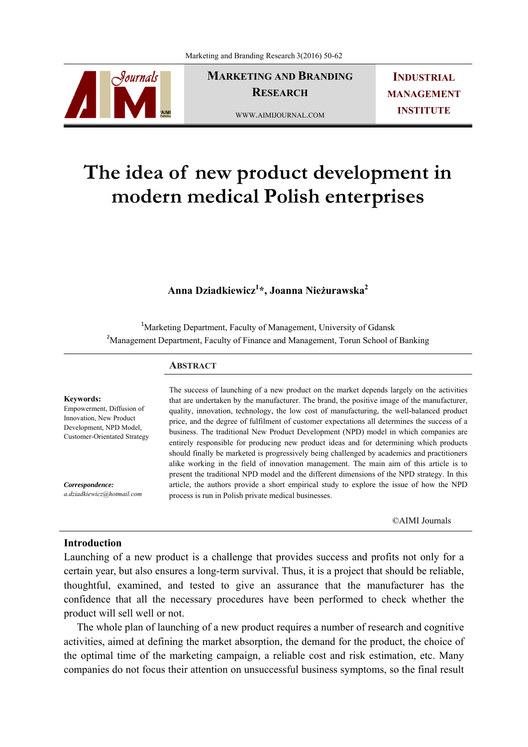

**MARKETING AND BRANDING RESEARCH** 

WWW.AIMIJOURNAL.COM

**INDUSTRIAL MANAGEMENT INSTITUTE**

# **The idea of new product development in modern medical Polish enterprises**

## **Anna Dziadkiewicz1 \*, Joanna Nieżurawska2**

<sup>1</sup>Marketing Department, Faculty of Management, University of Gdansk <sup>2</sup>Management Department, Faculty of Finance and Management, Torun School of Banking

#### **ABSTRACT**

#### **Keywords:**

Empowerment, Diffusion of Innovation, New Product Development, NPD Model, Customer-Orientated Strategy

*Correspondence: a.dziadkiewicz@hotmail.com* The success of launching of a new product on the market depends largely on the activities that are undertaken by the manufacturer. The brand, the positive image of the manufacturer, quality, innovation, technology, the low cost of manufacturing, the well-balanced product price, and the degree of fulfilment of customer expectations all determines the success of a business. The traditional New Product Development (NPD) model in which companies are entirely responsible for producing new product ideas and for determining which products should finally be marketed is progressively being challenged by academics and practitioners alike working in the field of innovation management. The main aim of this article is to present the traditional NPD model and the different dimensions of the NPD strategy. In this article, the authors provide a short empirical study to explore the issue of how the NPD process is run in Polish private medical businesses.

©AIMI Journals

#### **Introduction**

Launching of a new product is a challenge that provides success and profits not only for a certain year, but also ensures a long-term survival. Thus, it is a project that should be reliable, thoughtful, examined, and tested to give an assurance that the manufacturer has the confidence that all the necessary procedures have been performed to check whether the product will sell well or not.

 The whole plan of launching of a new product requires a number of research and cognitive activities, aimed at defining the market absorption, the demand for the product, the choice of the optimal time of the marketing campaign, a reliable cost and risk estimation, etc. Many companies do not focus their attention on unsuccessful business symptoms, so the final result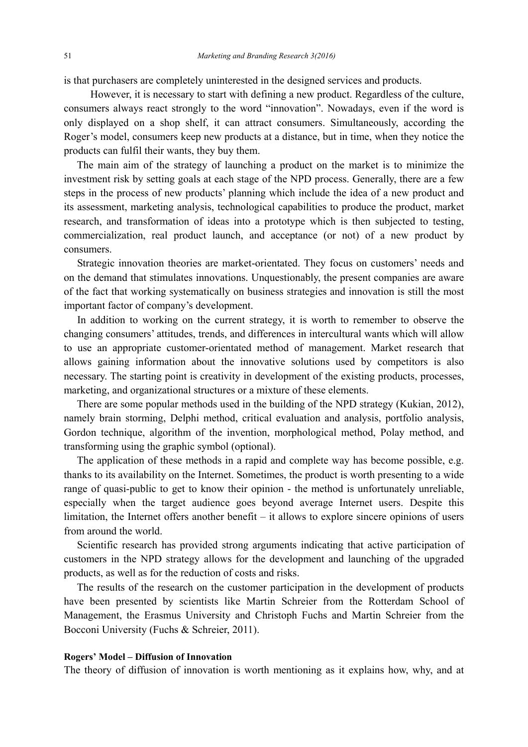is that purchasers are completely uninterested in the designed services and products.

 However, it is necessary to start with defining a new product. Regardless of the culture, consumers always react strongly to the word "innovation". Nowadays, even if the word is only displayed on a shop shelf, it can attract consumers. Simultaneously, according the Roger's model, consumers keep new products at a distance, but in time, when they notice the products can fulfil their wants, they buy them.

 The main aim of the strategy of launching a product on the market is to minimize the investment risk by setting goals at each stage of the NPD process. Generally, there are a few steps in the process of new products' planning which include the idea of a new product and its assessment, marketing analysis, technological capabilities to produce the product, market research, and transformation of ideas into a prototype which is then subjected to testing, commercialization, real product launch, and acceptance (or not) of a new product by consumers.

 Strategic innovation theories are market-orientated. They focus on customers' needs and on the demand that stimulates innovations. Unquestionably, the present companies are aware of the fact that working systematically on business strategies and innovation is still the most important factor of company's development.

 In addition to working on the current strategy, it is worth to remember to observe the changing consumers' attitudes, trends, and differences in intercultural wants which will allow to use an appropriate customer-orientated method of management. Market research that allows gaining information about the innovative solutions used by competitors is also necessary. The starting point is creativity in development of the existing products, processes, marketing, and organizational structures or a mixture of these elements.

 There are some popular methods used in the building of the NPD strategy (Kukian, 2012), namely brain storming, Delphi method, critical evaluation and analysis, portfolio analysis, Gordon technique, algorithm of the invention, morphological method, Polay method, and transforming using the graphic symbol (optional).

 The application of these methods in a rapid and complete way has become possible, e.g. thanks to its availability on the Internet. Sometimes, the product is worth presenting to a wide range of quasi-public to get to know their opinion - the method is unfortunately unreliable, especially when the target audience goes beyond average Internet users. Despite this limitation, the Internet offers another benefit – it allows to explore sincere opinions of users from around the world.

 Scientific research has provided strong arguments indicating that active participation of customers in the NPD strategy allows for the development and launching of the upgraded products, as well as for the reduction of costs and risks.

 The results of the research on the customer participation in the development of products have been presented by scientists like Martin Schreier from the Rotterdam School of Management, the Erasmus University and Christoph Fuchs and Martin Schreier from the Bocconi University (Fuchs & Schreier, 2011).

## **Rogers' Model – Diffusion of Innovation**

The theory of diffusion of innovation is worth mentioning as it explains how, why, and at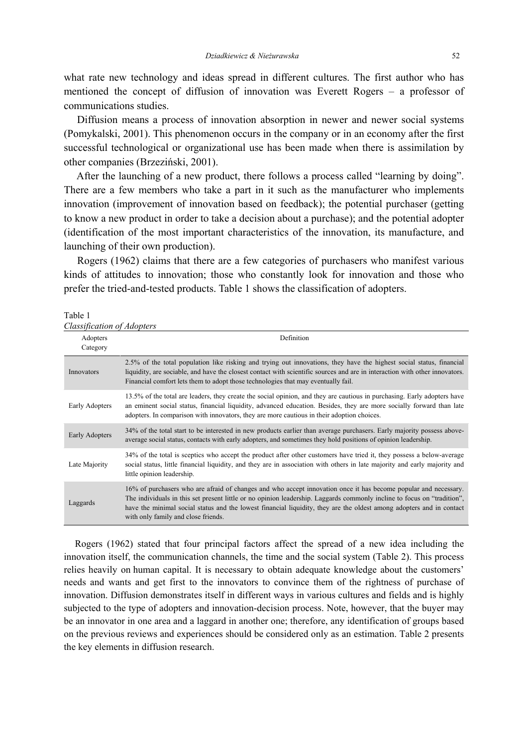what rate new technology and ideas spread in different cultures. The first author who has mentioned the concept of diffusion of innovation was Everett Rogers – a professor of communications studies.

 Diffusion means a process of innovation absorption in newer and newer social systems (Pomykalski, 2001). This phenomenon occurs in the company or in an economy after the first successful technological or organizational use has been made when there is assimilation by other companies (Brzeziński, 2001).

 After the launching of a new product, there follows a process called "learning by doing". There are a few members who take a part in it such as the manufacturer who implements innovation (improvement of innovation based on feedback); the potential purchaser (getting to know a new product in order to take a decision about a purchase); and the potential adopter (identification of the most important characteristics of the innovation, its manufacture, and launching of their own production).

 Rogers (1962) claims that there are a few categories of purchasers who manifest various kinds of attitudes to innovation; those who constantly look for innovation and those who prefer the tried-and-tested products. Table 1 shows the classification of adopters.

Table 1 *Classification of Adopters* 

| Adopters<br>Category | Definition                                                                                                                                                                                                                                                                                                                                                                                                |
|----------------------|-----------------------------------------------------------------------------------------------------------------------------------------------------------------------------------------------------------------------------------------------------------------------------------------------------------------------------------------------------------------------------------------------------------|
| Innovators           | 2.5% of the total population like risking and trying out innovations, they have the highest social status, financial<br>liquidity, are sociable, and have the closest contact with scientific sources and are in interaction with other innovators.<br>Financial comfort lets them to adopt those technologies that may eventually fail.                                                                  |
| Early Adopters       | 13.5% of the total are leaders, they create the social opinion, and they are cautious in purchasing. Early adopters have<br>an eminent social status, financial liquidity, advanced education. Besides, they are more socially forward than late<br>adopters. In comparison with innovators, they are more cautious in their adoption choices.                                                            |
| Early Adopters       | 34% of the total start to be interested in new products earlier than average purchasers. Early majority possess above-<br>average social status, contacts with early adopters, and sometimes they hold positions of opinion leadership.                                                                                                                                                                   |
| Late Majority        | 34% of the total is sceptics who accept the product after other customers have tried it, they possess a below-average<br>social status, little financial liquidity, and they are in association with others in late majority and early majority and<br>little opinion leadership.                                                                                                                         |
| Laggards             | 16% of purchasers who are afraid of changes and who accept innovation once it has become popular and necessary.<br>The individuals in this set present little or no opinion leadership. Laggards commonly incline to focus on "tradition",<br>have the minimal social status and the lowest financial liquidity, they are the oldest among adopters and in contact<br>with only family and close friends. |

 Rogers (1962) stated that four principal factors affect the spread of a new idea including the innovation itself, the communication channels, the time and the social system (Table 2). This process relies heavily on human capital. It is necessary to obtain adequate knowledge about the customers' needs and wants and get first to the innovators to convince them of the rightness of purchase of innovation. Diffusion demonstrates itself in different ways in various cultures and fields and is highly subjected to the type of adopters and innovation-decision process. Note, however, that the buyer may be an innovator in one area and a laggard in another one; therefore, any identification of groups based on the previous reviews and experiences should be considered only as an estimation. Table 2 presents the key elements in diffusion research.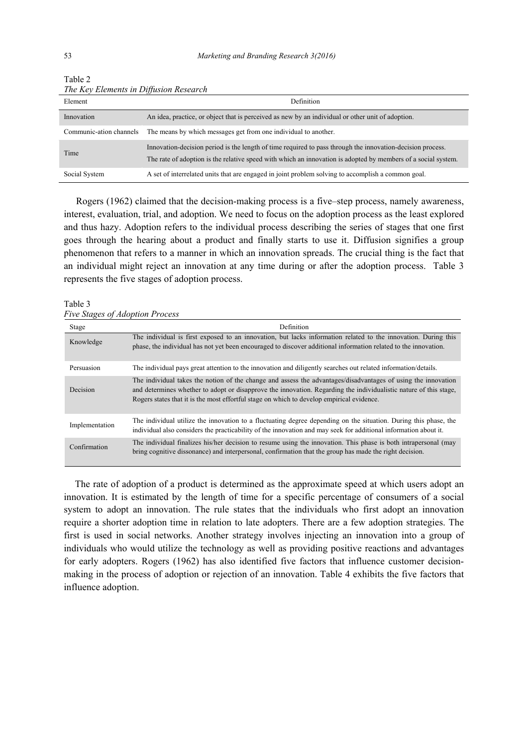| Element                 | Definition                                                                                                                                                                                                                  |  |  |  |  |
|-------------------------|-----------------------------------------------------------------------------------------------------------------------------------------------------------------------------------------------------------------------------|--|--|--|--|
| Innovation              | An idea, practice, or object that is perceived as new by an individual or other unit of adoption.                                                                                                                           |  |  |  |  |
| Communic-ation channels | The means by which messages get from one individual to another.                                                                                                                                                             |  |  |  |  |
| Time                    | Innovation-decision period is the length of time required to pass through the innovation-decision process.<br>The rate of adoption is the relative speed with which an innovation is adopted by members of a social system. |  |  |  |  |
| Social System           | A set of interrelated units that are engaged in joint problem solving to accomplish a common goal.                                                                                                                          |  |  |  |  |

Table 2 *The Key Elements in Diffusion Research* 

 Rogers (1962) claimed that the decision-making process is a five–step process, namely awareness, interest, evaluation, trial, and adoption. We need to focus on the adoption process as the least explored and thus hazy. Adoption refers to the individual process describing the series of stages that one first goes through the hearing about a product and finally starts to use it. Diffusion signifies a group phenomenon that refers to a manner in which an innovation spreads. The crucial thing is the fact that an individual might reject an innovation at any time during or after the adoption process. Table 3 represents the five stages of adoption process.

## Table 3

*Five Stages of Adoption Process* 

| Stage          | <b>Definition</b>                                                                                                                                                                                                                                                                                                               |
|----------------|---------------------------------------------------------------------------------------------------------------------------------------------------------------------------------------------------------------------------------------------------------------------------------------------------------------------------------|
| Knowledge      | The individual is first exposed to an innovation, but lacks information related to the innovation. During this<br>phase, the individual has not yet been encouraged to discover additional information related to the innovation.                                                                                               |
| Persuasion     | The individual pays great attention to the innovation and diligently searches out related information/details.                                                                                                                                                                                                                  |
| Decision       | The individual takes the notion of the change and assess the advantages/disadvantages of using the innovation<br>and determines whether to adopt or disapprove the innovation. Regarding the individualistic nature of this stage,<br>Rogers states that it is the most effortful stage on which to develop empirical evidence. |
| Implementation | The individual utilize the innovation to a fluctuating degree depending on the situation. During this phase, the<br>individual also considers the practicability of the innovation and may seek for additional information about it.                                                                                            |
| Confirmation   | The individual finalizes his/her decision to resume using the innovation. This phase is both intrapersonal (may<br>bring cognitive dissonance) and interpersonal, confirmation that the group has made the right decision.                                                                                                      |

 The rate of adoption of a product is determined as the approximate speed at which users adopt an innovation. It is estimated by the length of time for a specific percentage of consumers of a social system to adopt an innovation. The rule states that the individuals who first adopt an innovation require a shorter adoption time in relation to late adopters. There are a few adoption strategies. The first is used in social networks. Another strategy involves injecting an innovation into a group of individuals who would utilize the technology as well as providing positive reactions and advantages for early adopters. Rogers (1962) has also identified five factors that influence customer decisionmaking in the process of adoption or rejection of an innovation. Table 4 exhibits the five factors that influence adoption.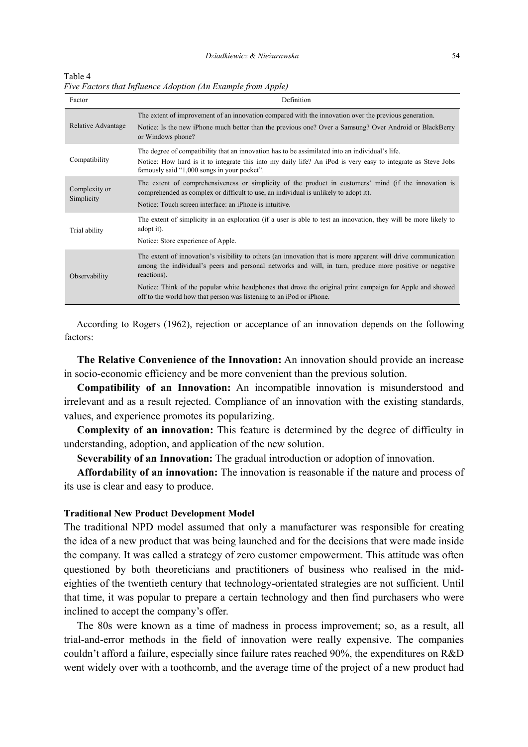Table 4 *Five Factors that Influence Adoption (An Example from Apple)* 

| Factor                      | Definition                                                                                                                                                                                                                                                                                                                                                                                                                   |  |  |  |  |
|-----------------------------|------------------------------------------------------------------------------------------------------------------------------------------------------------------------------------------------------------------------------------------------------------------------------------------------------------------------------------------------------------------------------------------------------------------------------|--|--|--|--|
| Relative Advantage          | The extent of improvement of an innovation compared with the innovation over the previous generation.<br>Notice: Is the new iPhone much better than the previous one? Over a Samsung? Over Android or BlackBerry<br>or Windows phone?                                                                                                                                                                                        |  |  |  |  |
| Compatibility               | The degree of compatibility that an innovation has to be assimilated into an individual's life.<br>Notice: How hard is it to integrate this into my daily life? An iPod is very easy to integrate as Steve Jobs<br>famously said "1,000 songs in your pocket".                                                                                                                                                               |  |  |  |  |
| Complexity or<br>Simplicity | The extent of comprehensiveness or simplicity of the product in customers' mind (if the innovation is<br>comprehended as complex or difficult to use, an individual is unlikely to adopt it).<br>Notice: Touch screen interface: an iPhone is intuitive.                                                                                                                                                                     |  |  |  |  |
| Trial ability               | The extent of simplicity in an exploration (if a user is able to test an innovation, they will be more likely to<br>adopt it).<br>Notice: Store experience of Apple.                                                                                                                                                                                                                                                         |  |  |  |  |
| Observability               | The extent of innovation's visibility to others (an innovation that is more apparent will drive communication<br>among the individual's peers and personal networks and will, in turn, produce more positive or negative<br>reactions).<br>Notice: Think of the popular white headphones that drove the original print campaign for Apple and showed<br>off to the world how that person was listening to an iPod or iPhone. |  |  |  |  |

 According to Rogers (1962), rejection or acceptance of an innovation depends on the following factors:

 **The Relative Convenience of the Innovation:** An innovation should provide an increase in socio-economic efficiency and be more convenient than the previous solution.

 **Compatibility of an Innovation:** An incompatible innovation is misunderstood and irrelevant and as a result rejected. Compliance of an innovation with the existing standards, values, and experience promotes its popularizing.

 **Complexity of an innovation:** This feature is determined by the degree of difficulty in understanding, adoption, and application of the new solution.

**Severability of an Innovation:** The gradual introduction or adoption of innovation.

 **Affordability of an innovation:** The innovation is reasonable if the nature and process of its use is clear and easy to produce.

#### **Traditional New Product Development Model**

The traditional NPD model assumed that only a manufacturer was responsible for creating the idea of a new product that was being launched and for the decisions that were made inside the company. It was called a strategy of zero customer empowerment. This attitude was often questioned by both theoreticians and practitioners of business who realised in the mideighties of the twentieth century that technology-orientated strategies are not sufficient. Until that time, it was popular to prepare a certain technology and then find purchasers who were inclined to accept the company's offer.

 The 80s were known as a time of madness in process improvement; so, as a result, all trial-and-error methods in the field of innovation were really expensive. The companies couldn't afford a failure, especially since failure rates reached 90%, the expenditures on R&D went widely over with a toothcomb, and the average time of the project of a new product had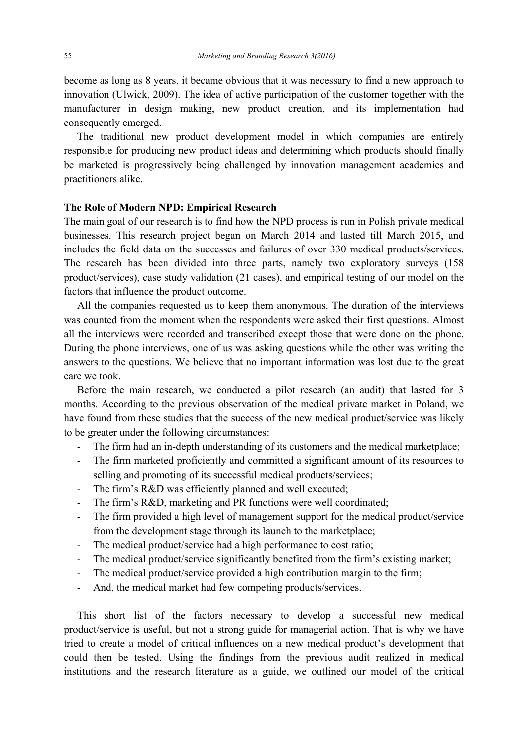become as long as 8 years, it became obvious that it was necessary to find a new approach to innovation (Ulwick, 2009). The idea of active participation of the customer together with the manufacturer in design making, new product creation, and its implementation had consequently emerged.

 The traditional new product development model in which companies are entirely responsible for producing new product ideas and determining which products should finally be marketed is progressively being challenged by innovation management academics and practitioners alike.

## **The Role of Modern NPD: Empirical Research**

The main goal of our research is to find how the NPD process is run in Polish private medical businesses. This research project began on March 2014 and lasted till March 2015, and includes the field data on the successes and failures of over 330 medical products/services. The research has been divided into three parts, namely two exploratory surveys (158 product/services), case study validation (21 cases), and empirical testing of our model on the factors that influence the product outcome.

 All the companies requested us to keep them anonymous. The duration of the interviews was counted from the moment when the respondents were asked their first questions. Almost all the interviews were recorded and transcribed except those that were done on the phone. During the phone interviews, one of us was asking questions while the other was writing the answers to the questions. We believe that no important information was lost due to the great care we took.

 Before the main research, we conducted a pilot research (an audit) that lasted for 3 months. According to the previous observation of the medical private market in Poland, we have found from these studies that the success of the new medical product/service was likely to be greater under the following circumstances:

- The firm had an in-depth understanding of its customers and the medical marketplace;
- The firm marketed proficiently and committed a significant amount of its resources to selling and promoting of its successful medical products/services;
- The firm's R&D was efficiently planned and well executed;
- The firm's R&D, marketing and PR functions were well coordinated;
- The firm provided a high level of management support for the medical product/service from the development stage through its launch to the marketplace;
- The medical product/service had a high performance to cost ratio;
- The medical product/service significantly benefited from the firm's existing market;
- The medical product/service provided a high contribution margin to the firm;
- And, the medical market had few competing products/services.

 This short list of the factors necessary to develop a successful new medical product/service is useful, but not a strong guide for managerial action. That is why we have tried to create a model of critical influences on a new medical product's development that could then be tested. Using the findings from the previous audit realized in medical institutions and the research literature as a guide, we outlined our model of the critical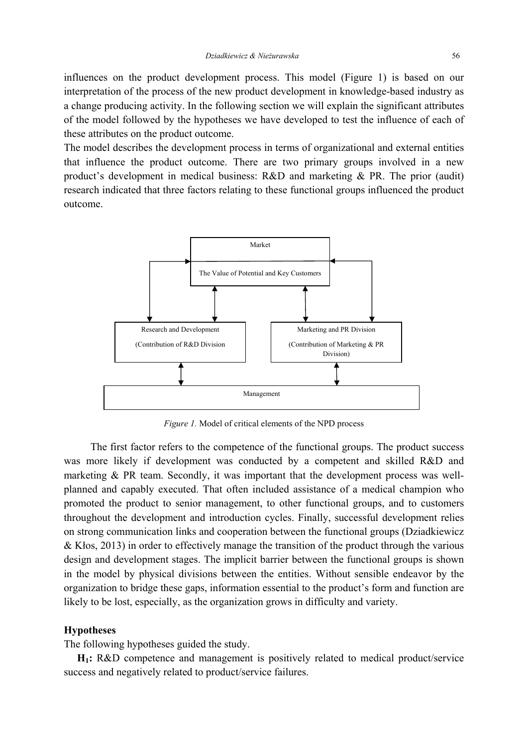influences on the product development process. This model (Figure 1) is based on our interpretation of the process of the new product development in knowledge-based industry as a change producing activity. In the following section we will explain the significant attributes of the model followed by the hypotheses we have developed to test the influence of each of these attributes on the product outcome.

The model describes the development process in terms of organizational and external entities that influence the product outcome. There are two primary groups involved in a new product's development in medical business: R&D and marketing & PR. The prior (audit) research indicated that three factors relating to these functional groups influenced the product outcome.



*Figure 1.* Model of critical elements of the NPD process

 The first factor refers to the competence of the functional groups. The product success was more likely if development was conducted by a competent and skilled R&D and marketing & PR team. Secondly, it was important that the development process was wellplanned and capably executed. That often included assistance of a medical champion who promoted the product to senior management, to other functional groups, and to customers throughout the development and introduction cycles. Finally, successful development relies on strong communication links and cooperation between the functional groups (Dziadkiewicz & Kłos, 2013) in order to effectively manage the transition of the product through the various design and development stages. The implicit barrier between the functional groups is shown in the model by physical divisions between the entities. Without sensible endeavor by the organization to bridge these gaps, information essential to the product's form and function are likely to be lost, especially, as the organization grows in difficulty and variety.

## **Hypotheses**

The following hypotheses guided the study.

 **H1:** R&D competence and management is positively related to medical product/service success and negatively related to product/service failures.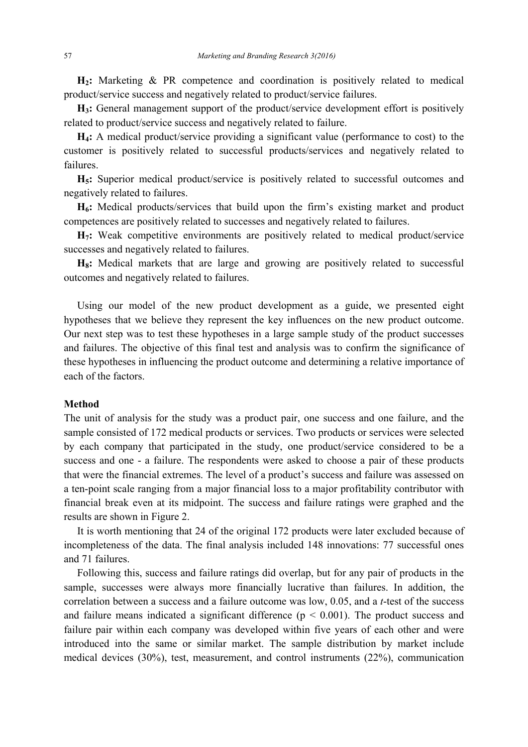**H2:** Marketing & PR competence and coordination is positively related to medical product/service success and negatively related to product/service failures.

 **H3:** General management support of the product/service development effort is positively related to product/service success and negatively related to failure.

 **H4:** A medical product/service providing a significant value (performance to cost) to the customer is positively related to successful products/services and negatively related to failures.

 **H5:** Superior medical product/service is positively related to successful outcomes and negatively related to failures.

 **H6:** Medical products/services that build upon the firm's existing market and product competences are positively related to successes and negatively related to failures.

 **H7:** Weak competitive environments are positively related to medical product/service successes and negatively related to failures.

H<sub>8</sub>: Medical markets that are large and growing are positively related to successful outcomes and negatively related to failures.

 Using our model of the new product development as a guide, we presented eight hypotheses that we believe they represent the key influences on the new product outcome. Our next step was to test these hypotheses in a large sample study of the product successes and failures. The objective of this final test and analysis was to confirm the significance of these hypotheses in influencing the product outcome and determining a relative importance of each of the factors.

## **Method**

The unit of analysis for the study was a product pair, one success and one failure, and the sample consisted of 172 medical products or services. Two products or services were selected by each company that participated in the study, one product/service considered to be a success and one - a failure. The respondents were asked to choose a pair of these products that were the financial extremes. The level of a product's success and failure was assessed on a ten-point scale ranging from a major financial loss to a major profitability contributor with financial break even at its midpoint. The success and failure ratings were graphed and the results are shown in Figure 2.

 It is worth mentioning that 24 of the original 172 products were later excluded because of incompleteness of the data. The final analysis included 148 innovations: 77 successful ones and 71 failures.

 Following this, success and failure ratings did overlap, but for any pair of products in the sample, successes were always more financially lucrative than failures. In addition, the correlation between a success and a failure outcome was low, 0.05, and a *t*-test of the success and failure means indicated a significant difference  $(p < 0.001)$ . The product success and failure pair within each company was developed within five years of each other and were introduced into the same or similar market. The sample distribution by market include medical devices (30%), test, measurement, and control instruments (22%), communication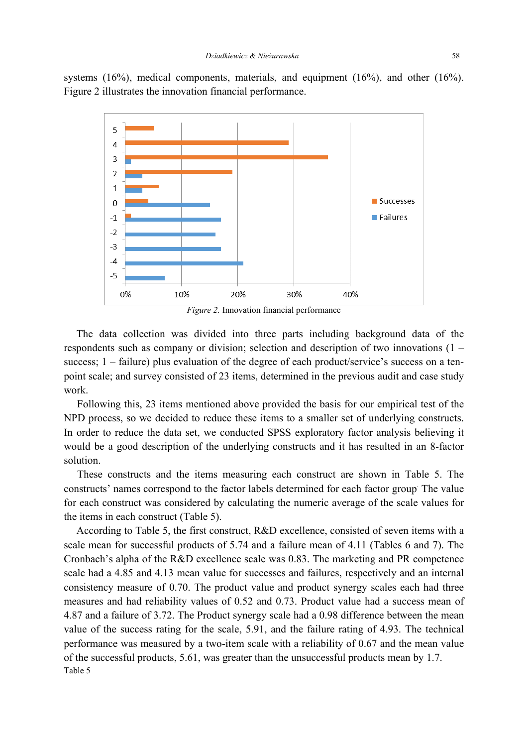systems (16%), medical components, materials, and equipment (16%), and other (16%). Figure 2 illustrates the innovation financial performance.



*Figure 2.* Innovation financial performance

The data collection was divided into three parts including background data of the respondents such as company or division; selection and description of two innovations (1 – success; 1 – failure) plus evaluation of the degree of each product/service's success on a tenpoint scale; and survey consisted of 23 items, determined in the previous audit and case study work.

 Following this, 23 items mentioned above provided the basis for our empirical test of the NPD process, so we decided to reduce these items to a smaller set of underlying constructs. In order to reduce the data set, we conducted SPSS exploratory factor analysis believing it would be a good description of the underlying constructs and it has resulted in an 8-factor solution.

 These constructs and the items measuring each construct are shown in Table 5. The constructs' names correspond to the factor labels determined for each factor group. The value for each construct was considered by calculating the numeric average of the scale values for the items in each construct (Table 5).

According to Table 5, the first construct, R&D excellence, consisted of seven items with a scale mean for successful products of 5.74 and a failure mean of 4.11 (Tables 6 and 7). The Cronbach's alpha of the R&D excellence scale was 0.83. The marketing and PR competence scale had a 4.85 and 4.13 mean value for successes and failures, respectively and an internal consistency measure of 0.70. The product value and product synergy scales each had three measures and had reliability values of 0.52 and 0.73. Product value had a success mean of 4.87 and a failure of 3.72. The Product synergy scale had a 0.98 difference between the mean value of the success rating for the scale, 5.91, and the failure rating of 4.93. The technical performance was measured by a two-item scale with a reliability of 0.67 and the mean value of the successful products, 5.61, was greater than the unsuccessful products mean by 1.7. Table 5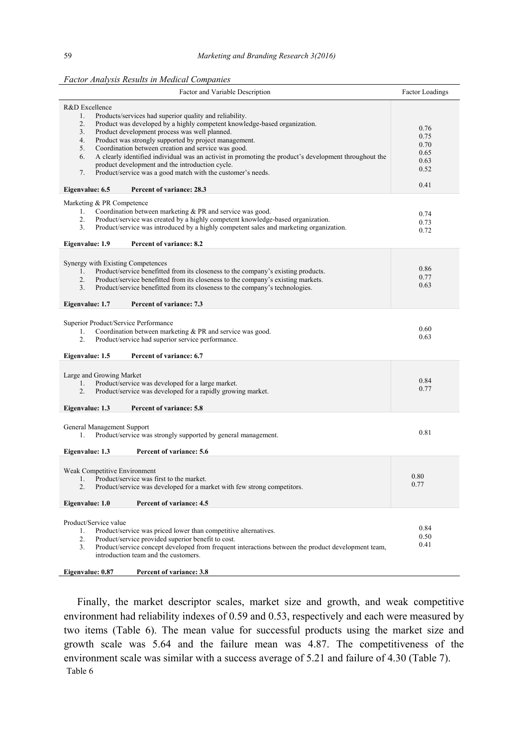| Factor and Variable Description                                                                                                                                                                                                                                                                                                                                                                                                                                                                                                                                                                                                              | <b>Factor Loadings</b>                               |
|----------------------------------------------------------------------------------------------------------------------------------------------------------------------------------------------------------------------------------------------------------------------------------------------------------------------------------------------------------------------------------------------------------------------------------------------------------------------------------------------------------------------------------------------------------------------------------------------------------------------------------------------|------------------------------------------------------|
| R&D Excellence<br>Products/services had superior quality and reliability.<br>1.<br>2.<br>Product was developed by a highly competent knowledge-based organization.<br>Product development process was well planned.<br>3.<br>Product was strongly supported by project management.<br>4.<br>Coordination between creation and service was good.<br>5.<br>6.<br>A clearly identified individual was an activist in promoting the product's development throughout the<br>product development and the introduction cycle.<br>Product/service was a good match with the customer's needs.<br>7.<br>Eigenvalue: 6.5<br>Percent of variance: 28.3 | 0.76<br>0.75<br>0.70<br>0.65<br>0.63<br>0.52<br>0.41 |
| Marketing & PR Competence<br>Coordination between marketing & PR and service was good.<br>1.<br>2.<br>Product/service was created by a highly competent knowledge-based organization.<br>Product/service was introduced by a highly competent sales and marketing organization.<br>3.<br>Eigenvalue: 1.9<br>Percent of variance: 8.2                                                                                                                                                                                                                                                                                                         | 0.74<br>0.73<br>0.72                                 |
| Synergy with Existing Competences<br>Product/service benefitted from its closeness to the company's existing products.<br>1.<br>2.<br>Product/service benefitted from its closeness to the company's existing markets.<br>3.<br>Product/service benefitted from its closeness to the company's technologies.<br>Percent of variance: 7.3<br>Eigenvalue: 1.7                                                                                                                                                                                                                                                                                  | 0.86<br>0.77<br>0.63                                 |
| Superior Product/Service Performance<br>Coordination between marketing & PR and service was good.<br>1.<br>2.<br>Product/service had superior service performance.<br>Eigenvalue: 1.5<br>Percent of variance: 6.7                                                                                                                                                                                                                                                                                                                                                                                                                            | 0.60<br>0.63                                         |
| Large and Growing Market<br>Product/service was developed for a large market.<br>1.<br>Product/service was developed for a rapidly growing market.<br>2.<br>Eigenvalue: 1.3<br>Percent of variance: 5.8                                                                                                                                                                                                                                                                                                                                                                                                                                      | 0.84<br>0.77                                         |
| General Management Support<br>Product/service was strongly supported by general management.<br>1.<br>Eigenvalue: 1.3<br>Percent of variance: 5.6                                                                                                                                                                                                                                                                                                                                                                                                                                                                                             | 0.81                                                 |
| Weak Competitive Environment<br>Product/service was first to the market.<br>2.<br>Product/service was developed for a market with few strong competitors.                                                                                                                                                                                                                                                                                                                                                                                                                                                                                    | 0.80<br>0.77                                         |
| Eigenvalue: 1.0<br>Percent of variance: 4.5<br>Product/Service value<br>Product/service was priced lower than competitive alternatives.<br>1.<br>2.<br>Product/service provided superior benefit to cost.<br>Product/service concept developed from frequent interactions between the product development team,<br>3.<br>introduction team and the customers.<br>Eigenvalue: 0.87<br>Percent of variance: 3.8                                                                                                                                                                                                                                | 0.84<br>0.50<br>0.41                                 |

 Finally, the market descriptor scales, market size and growth, and weak competitive environment had reliability indexes of 0.59 and 0.53, respectively and each were measured by two items (Table 6). The mean value for successful products using the market size and growth scale was 5.64 and the failure mean was 4.87. The competitiveness of the environment scale was similar with a success average of 5.21 and failure of 4.30 (Table 7). Table 6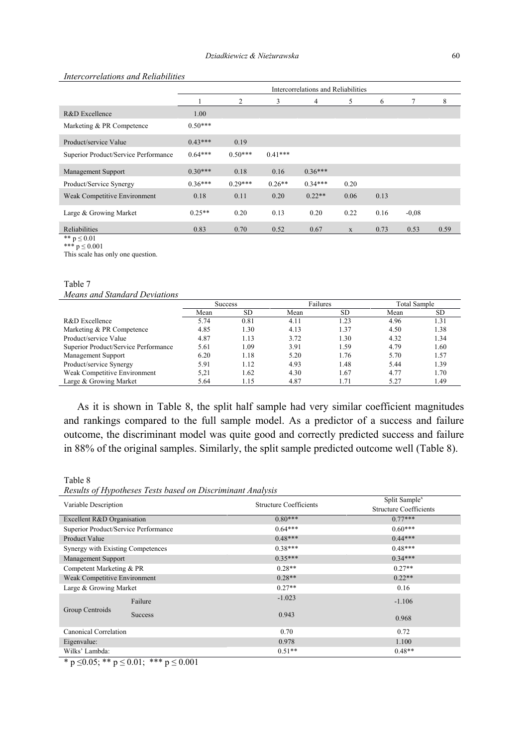#### *Intercorrelations and Reliabilities*

|                                      | Intercorrelations and Reliabilities |           |           |                |      |      |         |      |
|--------------------------------------|-------------------------------------|-----------|-----------|----------------|------|------|---------|------|
|                                      |                                     | 2         | 3         | $\overline{4}$ | 5    | 6    | 7       | 8    |
| R&D Excellence                       | 1.00                                |           |           |                |      |      |         |      |
| Marketing & PR Competence            | $0.50***$                           |           |           |                |      |      |         |      |
| Product/service Value                | $0.43***$                           | 0.19      |           |                |      |      |         |      |
| Superior Product/Service Performance | $0.64***$                           | $0.50***$ | $0.41***$ |                |      |      |         |      |
| <b>Management Support</b>            | $0.30***$                           | 0.18      | 0.16      | $0.36***$      |      |      |         |      |
| Product/Service Synergy              | $0.36***$                           | $0.29***$ | $0.26**$  | $0.34***$      | 0.20 |      |         |      |
| Weak Competitive Environment         | 0.18                                | 0.11      | 0.20      | $0.22**$       | 0.06 | 0.13 |         |      |
| Large & Growing Market               | $0.25**$                            | 0.20      | 0.13      | 0.20           | 0.22 | 0.16 | $-0,08$ |      |
| Reliabilities                        | 0.83                                | 0.70      | 0.52      | 0.67           | X    | 0.73 | 0.53    | 0.59 |
| ** $p \le 0.01$                      |                                     |           |           |                |      |      |         |      |

\*\*\*  $p \le 0.001$ 

This scale has only one question.

| Table 7                       |
|-------------------------------|
| Means and Standard Deviations |

|                                      | <b>Success</b> |           | Failures |           | <b>Total Sample</b> |           |
|--------------------------------------|----------------|-----------|----------|-----------|---------------------|-----------|
|                                      | Mean           | <b>SD</b> | Mean     | <b>SD</b> | Mean                | <b>SD</b> |
| R&D Excellence                       | 5.74           | 0.81      | 4.11     | 1.23      | 4.96                | 1.31      |
| Marketing & PR Competence            | 4.85           | 1.30      | 4.13     | 1.37      | 4.50                | 1.38      |
| Product/service Value                | 4.87           | 1.13      | 3.72     | 1.30      | 4.32                | 1.34      |
| Superior Product/Service Performance | 5.61           | 1.09      | 3.91     | 1.59      | 4.79                | 1.60      |
| Management Support                   | 6.20           | 1.18      | 5.20     | 1.76      | 5.70                | 1.57      |
| Product/service Synergy              | 5.91           | 1.12      | 4.93     | 1.48      | 5.44                | 1.39      |
| Weak Competitive Environment         | 5.21           | 1.62      | 4.30     | 1.67      | 4.77                | 1.70      |
| Large & Growing Market               | 5.64           | 1.15      | 4.87     | 1.71      | 5.27                | 1.49      |
|                                      |                |           |          |           |                     |           |

 As it is shown in Table 8, the split half sample had very similar coefficient magnitudes and rankings compared to the full sample model. As a predictor of a success and failure outcome, the discriminant model was quite good and correctly predicted success and failure in 88% of the original samples. Similarly, the split sample predicted outcome well (Table 8).

Table 8

*Results of Hypotheses Tests based on Discriminant Analysis* 

| Variable Description                 |                | Structure Coefficients | Split Sample <sup>x</sup>     |
|--------------------------------------|----------------|------------------------|-------------------------------|
|                                      |                |                        | <b>Structure Coefficients</b> |
| Excellent R&D Organisation           |                | $0.80***$              | $0.77***$                     |
| Superior Product/Service Performance |                | $0.64***$              | $0.60***$                     |
| Product Value                        |                | $0.48***$              | $0.44***$                     |
| Synergy with Existing Competences    |                | $0.38***$              | $0.48***$                     |
| <b>Management Support</b>            |                | $0.35***$              | $0.34***$                     |
| Competent Marketing & PR             |                | $0.28**$               | $0.27**$                      |
| Weak Competitive Environment         |                | $0.28**$               | $0.22**$                      |
| Large & Growing Market               |                | $0.27**$               | 0.16                          |
|                                      | Failure        | $-1.023$               | $-1.106$                      |
| Group Centroids                      | <b>Success</b> | 0.943                  | 0.968                         |
| Canonical Correlation                |                | 0.70                   | 0.72                          |
| Eigenvalue:                          |                | 0.978                  | 1.100                         |
| Wilks' Lambda:                       |                | $0.51**$               | $0.48**$                      |

\* p  $\leq$ 0.05; \*\* p  $\leq$  0.01; \*\*\* p  $\leq$  0.001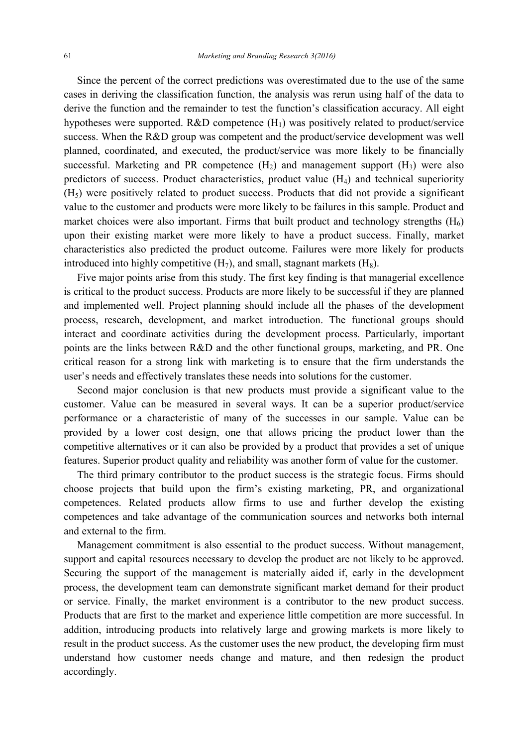Since the percent of the correct predictions was overestimated due to the use of the same cases in deriving the classification function, the analysis was rerun using half of the data to derive the function and the remainder to test the function's classification accuracy. All eight hypotheses were supported. R&D competence  $(H_1)$  was positively related to product/service success. When the R&D group was competent and the product/service development was well planned, coordinated, and executed, the product/service was more likely to be financially successful. Marketing and PR competence  $(H_2)$  and management support  $(H_3)$  were also predictors of success. Product characteristics, product value (H4) and technical superiority  $(H<sub>5</sub>)$  were positively related to product success. Products that did not provide a significant value to the customer and products were more likely to be failures in this sample. Product and market choices were also important. Firms that built product and technology strengths  $(H_6)$ upon their existing market were more likely to have a product success. Finally, market characteristics also predicted the product outcome. Failures were more likely for products introduced into highly competitive  $(H_7)$ , and small, stagnant markets  $(H_8)$ .

 Five major points arise from this study. The first key finding is that managerial excellence is critical to the product success. Products are more likely to be successful if they are planned and implemented well. Project planning should include all the phases of the development process, research, development, and market introduction. The functional groups should interact and coordinate activities during the development process. Particularly, important points are the links between R&D and the other functional groups, marketing, and PR. One critical reason for a strong link with marketing is to ensure that the firm understands the user's needs and effectively translates these needs into solutions for the customer.

 Second major conclusion is that new products must provide a significant value to the customer. Value can be measured in several ways. It can be a superior product/service performance or a characteristic of many of the successes in our sample. Value can be provided by a lower cost design, one that allows pricing the product lower than the competitive alternatives or it can also be provided by a product that provides a set of unique features. Superior product quality and reliability was another form of value for the customer.

 The third primary contributor to the product success is the strategic focus. Firms should choose projects that build upon the firm's existing marketing, PR, and organizational competences. Related products allow firms to use and further develop the existing competences and take advantage of the communication sources and networks both internal and external to the firm.

 Management commitment is also essential to the product success. Without management, support and capital resources necessary to develop the product are not likely to be approved. Securing the support of the management is materially aided if, early in the development process, the development team can demonstrate significant market demand for their product or service. Finally, the market environment is a contributor to the new product success. Products that are first to the market and experience little competition are more successful. In addition, introducing products into relatively large and growing markets is more likely to result in the product success. As the customer uses the new product, the developing firm must understand how customer needs change and mature, and then redesign the product accordingly.